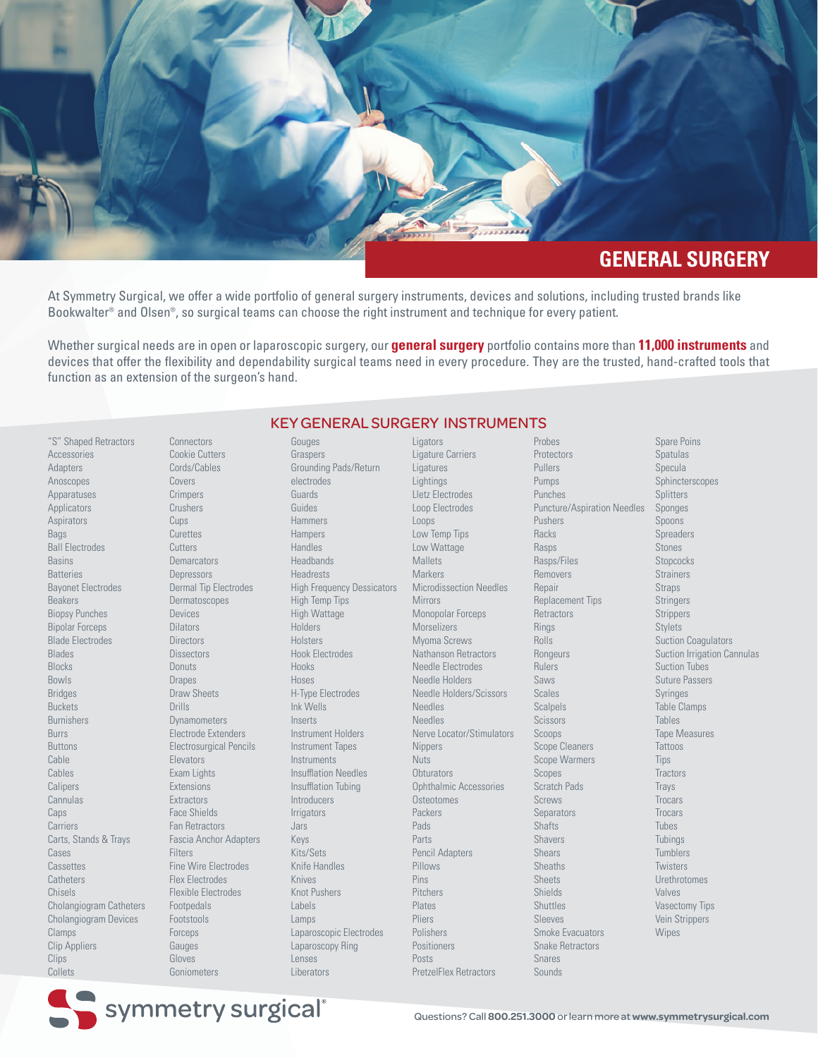

At Symmetry Surgical, we offer a wide portfolio of general surgery instruments, devices and solutions, including trusted brands like Bookwalter® and Olsen®, so surgical teams can choose the right instrument and technique for every patient.

Whether surgical needs are in open or laparoscopic surgery, our **general surgery** portfolio contains more than **11,000 instruments** and devices that offer the flexibility and dependability surgical teams need in every procedure. They are the trusted, hand-crafted tools that function as an extension of the surgeon's hand.

"S" Shaped Retractors Accessories Adapters Anoscopes **Apparatuses Applicators** Aspirators Bags Ball Electrodes Basins **Batteries** Bayonet Electrodes Beakers Biopsy Punches Bipolar Forceps Blade Electrodes Blades Blocks Bowls Bridges Buckets Burnishers Burrs Buttons Cable **Cables** Calipers Cannulas Caps Carriers Carts, Stands & Trays Cases **Cassettes Catheters** Chisels Cholangiogram Catheters Cholangiogram Devices Clamps Clip Appliers **Clips Collets** 

**Connectors** Cookie Cutters Cords/Cables Covers **Crimpers Crushers** Cups **Curettes Cutters Demarcators Depressors** Dermal Tip Electrodes Dermatoscopes Devices **Dilators Directors Dissectors Donuts** Drapes Draw Sheets Drills Dynamometers Electrode Extenders Electrosurgical Pencils Elevators Exam Lights Extensions **Extractors** Face Shields Fan Retractors Fascia Anchor Adapters **Filters** Fine Wire Electrodes Flex Electrodes Flexible Electrodes Footpedals Footstools **Forceps** Gauges Gloves

Gouges Graspers Grounding Pads/Return electrodes Guards Guides Hammers **Hampers** Handles Headbands Headrests High Frequency Dessicators High Temp Tips High Wattage Holders Holsters Hook Electrodes Hooks Hoses H-Type Electrodes Ink Wells Inserts Instrument Holders Instrument Tapes Instruments Insufflation Needles Insufflation Tubing Introducers Irrigators Jars Keys Kits/Sets Knife Handles Knives Knot Pushers Labels Lamps Laparoscopic Electrodes Laparoscopy Ring Lenses **Liberators** 

KEY GENERAL SURGERY INSTRUMENTS **Ligators** Ligature Carriers Ligatures Lightings Lletz Electrodes Loop Electrodes Loops Low Temp Tips Low Wattage Mallets **Markers** Microdissection Needles Mirrors Monopolar Forceps Morselizers Myoma Screws Nathanson Retractors Needle Electrodes Needle Holders Needle Holders/Scissors Needles Needles Nerve Locator/Stimulators Nippers **Nuts Obturators** Ophthalmic Accessories **Osteotomes** Packers Pads Parts Pencil Adapters Pillows Pins Pitchers Plates Pliers Polishers Positioners Posts

PretzelFlex Retractors

Probes **Protectors** Pullers Pumps Punches Puncture/Aspiration Needles Pushers Racks **Rasps** Rasps/Files Removers Repair Replacement Tips **Retractors** Rings Rolls Rongeurs Rulers Saws Scales Scalpels Scissors Scoops Scope Cleaners Scope Warmers Scopes Scratch Pads Screws **Separators** Shafts Shavers Shears **Sheaths** Sheets Shields Shuttles Sleeves Smoke Evacuators Snake Retractors Snares Sounds

Spare Poins Spatulas Specula Sphincterscopes **Splitters** Sponges Spoons **Spreaders** Stones **Stopcocks Strainers** Strans Stringers **Strippers** Stylets Suction Coagulators Suction Irrigation Cannulas Suction Tubes Suture Passers Syringes Table Clamps Tables Tape Measures Tattoos **Tips Tractors** Trays **Trocars Trocars** Tubes Tubings Tumblers Twisters Urethrotomes Valves Vasectomy Tips Vein Strippers Wipes

symmetry surgical®

Goniometers